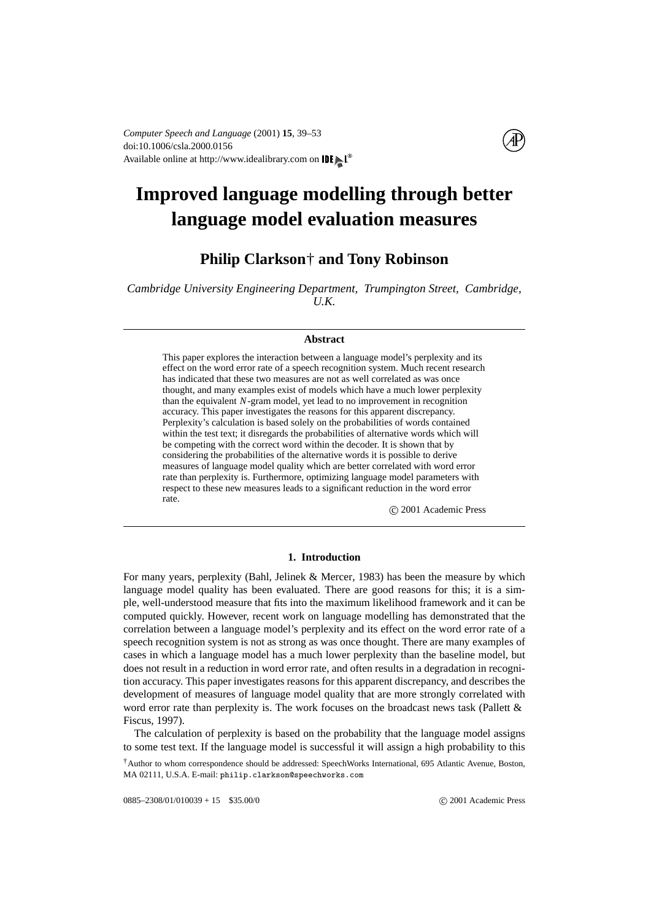doi:10.1006/csla.2000.0156 Available online at http://www.idealibrary.com on **IDE** *Computer Speech and Language* (2001) **15**, 39–53

# **Improved language modelling through better language model evaluation measures**

# **Philip Clarkson**† **and Tony Robinson**

*Cambridge University Engineering Department, Trumpington Street, Cambridge, U.K.*

#### **Abstract**

This paper explores the interaction between a language model's perplexity and its effect on the word error rate of a speech recognition system. Much recent research has indicated that these two measures are not as well correlated as was once thought, and many examples exist of models which have a much lower perplexity than the equivalent *N*-gram model, yet lead to no improvement in recognition accuracy. This paper investigates the reasons for this apparent discrepancy. Perplexity's calculation is based solely on the probabilities of words contained within the test text; it disregards the probabilities of alternative words which will be competing with the correct word within the decoder. It is shown that by considering the probabilities of the alternative words it is possible to derive measures of language model quality which are better correlated with word error rate than perplexity is. Furthermore, optimizing language model parameters with respect to these new measures leads to a significant reduction in the word error rate.

c 2001 Academic Press

#### **1. Introduction**

For many years, perplexity [\(Bahl, Jelinek & Mercer](#page-13-0), [1983\)](#page-13-0) has been the measure by which language model quality has been evaluated. There are good reasons for this; it is a simple, well-understood measure that fits into the maximum likelihood framework and it can be computed quickly. However, recent work on language modelling has demonstrated that the correlation between a language model's perplexity and its effect on the word error rate of a speech recognition system is not as strong as was once thought. There are many examples of cases in which a language model has a much lower perplexity than the baseline model, but does not result in a reduction in word error rate, and often results in a degradation in recognition accuracy. This paper investigates reasons for this apparent discrepancy, and describes the development of measures of language model quality that are more strongly correlated with word error rate than perplexity is. The work focuses on the broadcast news task (Pallett  $\&$ [Fiscus](#page-14-0), [1997](#page-14-0)).

The calculation of perplexity is based on the probability that the language model assigns to some test text. If the language model is successful it will assign a high probability to this

†Author to whom correspondence should be addressed: SpeechWorks International, 695 Atlantic Avenue, Boston, MA 02111, U.S.A. E-mail: philip.clarkson@speechworks.com

0885–2308/01/010039 + 15 \$35.00/0 c 2001 Academic Press

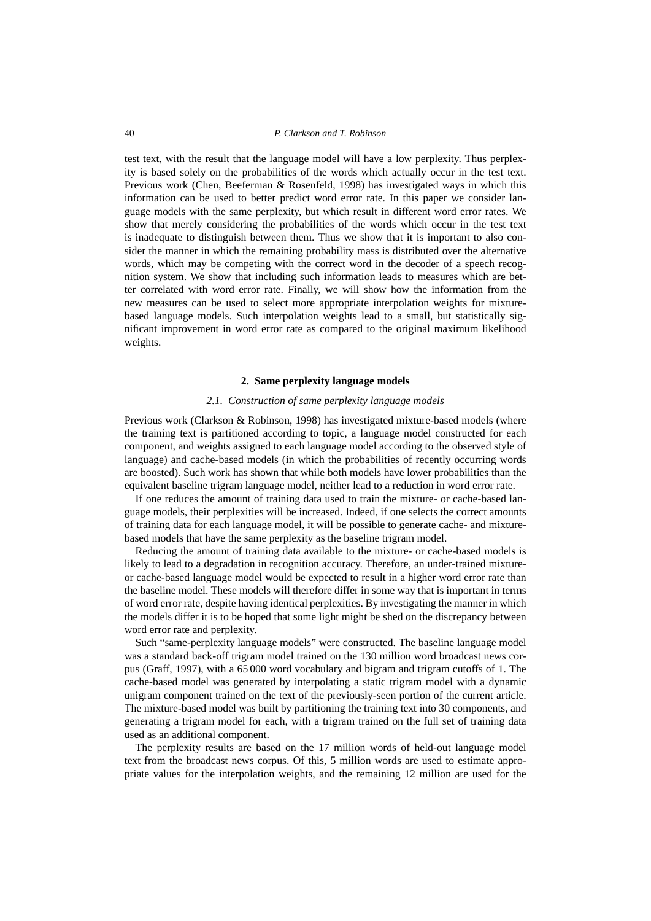#### 40 *P. Clarkson and T. Robinson*

test text, with the result that the language model will have a low perplexity. Thus perplexity is based solely on the probabilities of the words which actually occur in the test text. Previous work ([Chen, Beeferman & Rosenfeld](#page-13-1), [1998](#page-13-1)) has investigated ways in which this information can be used to better predict word error rate. In this paper we consider language models with the same perplexity, but which result in different word error rates. We show that merely considering the probabilities of the words which occur in the test text is inadequate to distinguish between them. Thus we show that it is important to also consider the manner in which the remaining probability mass is distributed over the alternative words, which may be competing with the correct word in the decoder of a speech recognition system. We show that including such information leads to measures which are better correlated with word error rate. Finally, we will show how the information from the new measures can be used to select more appropriate interpolation weights for mixturebased language models. Such interpolation weights lead to a small, but statistically significant improvement in word error rate as compared to the original maximum likelihood weights.

# **2. Same perplexity language models**

#### *2.1. Construction of same perplexity language models*

Previous work ([Clarkson & Robinson](#page-13-2), [1998](#page-13-2)) has investigated mixture-based models (where the training text is partitioned according to topic, a language model constructed for each component, and weights assigned to each language model according to the observed style of language) and cache-based models (in which the probabilities of recently occurring words are boosted). Such work has shown that while both models have lower probabilities than the equivalent baseline trigram language model, neither lead to a reduction in word error rate.

If one reduces the amount of training data used to train the mixture- or cache-based language models, their perplexities will be increased. Indeed, if one selects the correct amounts of training data for each language model, it will be possible to generate cache- and mixturebased models that have the same perplexity as the baseline trigram model.

Reducing the amount of training data available to the mixture- or cache-based models is likely to lead to a degradation in recognition accuracy. Therefore, an under-trained mixtureor cache-based language model would be expected to result in a higher word error rate than the baseline model. These models will therefore differ in some way that is important in terms of word error rate, despite having identical perplexities. By investigating the manner in which the models differ it is to be hoped that some light might be shed on the discrepancy between word error rate and perplexity.

Such "same-perplexity language models" were constructed. The baseline language model was a standard back-off trigram model trained on the 130 million word broadcast news corpus ([Graff](#page-14-1), [1997](#page-14-1)), with a 65 000 word vocabulary and bigram and trigram cutoffs of 1. The cache-based model was generated by interpolating a static trigram model with a dynamic unigram component trained on the text of the previously-seen portion of the current article. The mixture-based model was built by partitioning the training text into 30 components, and generating a trigram model for each, with a trigram trained on the full set of training data used as an additional component.

The perplexity results are based on the 17 million words of held-out language model text from the broadcast news corpus. Of this, 5 million words are used to estimate appropriate values for the interpolation weights, and the remaining 12 million are used for the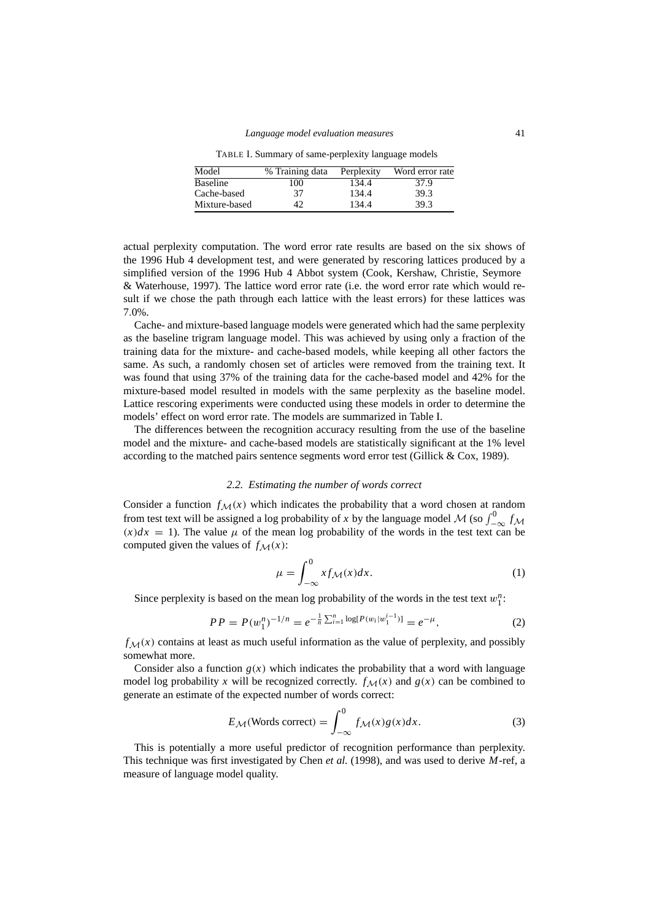<span id="page-2-0"></span>TABLE I. Summary of same-perplexity language models

| Model           | % Training data | Perplexity | Word error rate |
|-----------------|-----------------|------------|-----------------|
| <b>Baseline</b> | 100             | 134.4      | 37.9            |
| Cache-based     | 37              | 134.4      | 39.3            |
| Mixture-based   | 12              | 134.4      | 39.3            |

actual perplexity computation. The word error rate results are based on the six shows of the 1996 Hub 4 development test, and were generated by rescoring lattices produced by a simplified version of the 1996 Hub 4 Abbot system ([Cook, Kershaw, Christie, Seymore](#page-14-2) [& Waterhouse,](#page-14-2) [1997](#page-14-2)). The lattice word error rate (i.e. the word error rate which would result if we chose the path through each lattice with the least errors) for these lattices was 7.0%.

Cache- and mixture-based language models were generated which had the same perplexity as the baseline trigram language model. This was achieved by using only a fraction of the training data for the mixture- and cache-based models, while keeping all other factors the same. As such, a randomly chosen set of articles were removed from the training text. It was found that using 37% of the training data for the cache-based model and 42% for the mixture-based model resulted in models with the same perplexity as the baseline model. Lattice rescoring experiments were conducted using these models in order to determine the models' effect on word error rate. The models are summarized in Table [I](#page-2-0).

The differences between the recognition accuracy resulting from the use of the baseline model and the mixture- and cache-based models are statistically significant at the 1% level according to the matched pairs sentence segments word error test (Gillick  $& Cox$ , [1989](#page-14-3)).

#### *2.2. Estimating the number of words correct*

Consider a function  $f_{\mathcal{M}}(x)$  which indicates the probability that a word chosen at random from test text will be assigned a log probability of *x* by the language model M (so  $\int_{-\infty}^{0} f\mathcal{M}$ )  $(x)dx = 1$ ). The value  $\mu$  of the mean log probability of the words in the test text can be computed given the values of  $f_M(x)$ :

$$
\mu = \int_{-\infty}^{0} x f_{\mathcal{M}}(x) dx.
$$
 (1)

Since perplexity is based on the mean log probability of the words in the test text  $w_1^n$ :

$$
PP = P(w_1^n)^{-1/n} = e^{-\frac{1}{n} \sum_{i=1}^n \log[P(w_i|w_1^{i-1})]} = e^{-\mu},\tag{2}
$$

 $f_M(x)$  contains at least as much useful information as the value of perplexity, and possibly somewhat more.

Consider also a function  $g(x)$  which indicates the probability that a word with language model log probability x will be recognized correctly.  $f_{\mathcal{M}}(x)$  and  $g(x)$  can be combined to generate an estimate of the expected number of words correct:

$$
E_{\mathcal{M}}(\text{Words correct}) = \int_{-\infty}^{0} f_{\mathcal{M}}(x)g(x)dx.
$$
 (3)

This is potentially a more useful predictor of recognition performance than perplexity. This technique was first investigated by [Chen](#page-13-1) *et al.* [\(1998](#page-13-1)), and was used to derive *M*-ref, a measure of language model quality.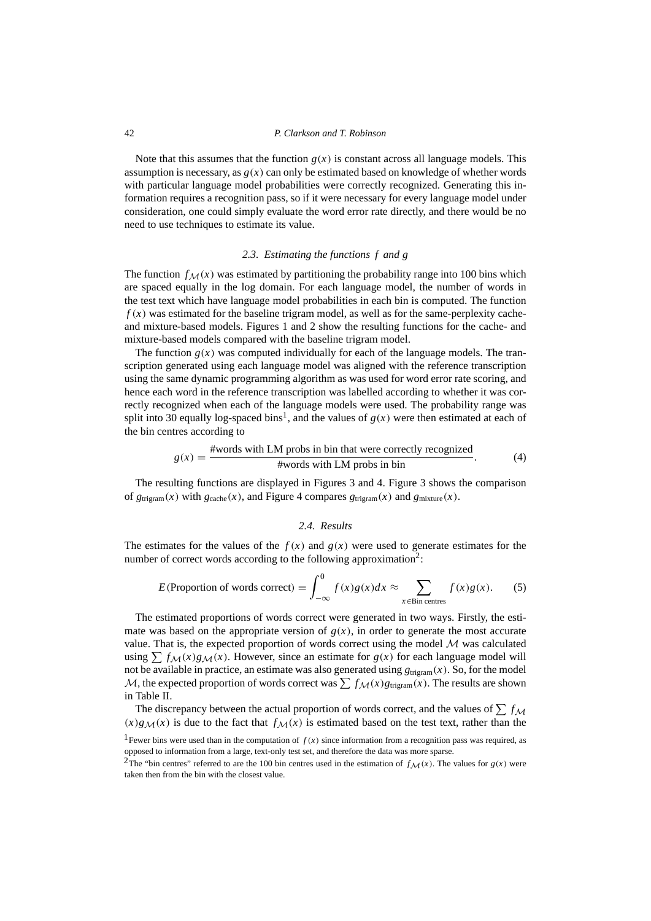Note that this assumes that the function  $g(x)$  is constant across all language models. This assumption is necessary, as  $g(x)$  can only be estimated based on knowledge of whether words with particular language model probabilities were correctly recognized. Generating this information requires a recognition pass, so if it were necessary for every language model under consideration, one could simply evaluate the word error rate directly, and there would be no need to use techniques to estimate its value.

#### *2.3. Estimating the functions f and g*

The function  $f_{\mathcal{M}}(x)$  was estimated by partitioning the probability range into 100 bins which are spaced equally in the log domain. For each language model, the number of words in the test text which have language model probabilities in each bin is computed. The function  $f(x)$  was estimated for the baseline trigram model, as well as for the same-perplexity cacheand mixture-based models. Figures [1](#page-4-0) and [2](#page-4-1) show the resulting functions for the cache- and mixture-based models compared with the baseline trigram model.

The function  $g(x)$  was computed individually for each of the language models. The transcription generated using each language model was aligned with the reference transcription using the same dynamic programming algorithm as was used for word error rate scoring, and hence each word in the reference transcription was labelled according to whether it was correctly recognized when each of the language models were used. The probability range was split into 30 equally log-spaced bins<sup>[1](#page-3-0)</sup>, and the values of  $g(x)$  were then estimated at each of the bin centres according to

$$
g(x) = \frac{\text{#words with LM probes in bin that were correctly recognized}}{\text{#words with LM probes in bin}}.
$$
 (4)

The resulting functions are displayed in Figures [3](#page-5-0) and [4.](#page-5-1) Figure [3](#page-5-0) shows the comparison of  $g_{\text{trigram}}(x)$  with  $g_{\text{cache}}(x)$ , and Figure [4](#page-5-1) compares  $g_{\text{trigram}}(x)$  and  $g_{\text{mixture}}(x)$ .

# *2.4. Results*

The estimates for the values of the  $f(x)$  and  $g(x)$  were used to generate estimates for the number of correct words according to the following approximation<sup>[2](#page-3-1)</sup>:

$$
E(\text{Proportion of words correct}) = \int_{-\infty}^{0} f(x)g(x)dx \approx \sum_{x \in \text{Bin centers}} f(x)g(x). \tag{5}
$$

The estimated proportions of words correct were generated in two ways. Firstly, the estimate was based on the appropriate version of  $g(x)$ , in order to generate the most accurate value. That is, the expected proportion of words correct using the model  $M$  was calculated using  $\sum f_{\mathcal{M}}(x)g_{\mathcal{M}}(x)$ . However, since an estimate for  $g(x)$  for each language model will not be available in practice, an estimate was also generated using  $g_{\text{trigram}}(x)$ . So, for the model M, the expected proportion of words correct was  $\sum f_{\mathcal{M}}(x)g_{\text{trigram}}(x)$ . The results are shown in Table [II](#page-6-0).

The discrepancy between the actual proportion of words correct, and the values of  $\sum f_{\mathcal{M}}$  $(x)g_M(x)$  is due to the fact that  $f_M(x)$  is estimated based on the test text, rather than the

<span id="page-3-0"></span><sup>&</sup>lt;sup>1</sup>Fewer bins were used than in the computation of  $f(x)$  since information from a recognition pass was required, as opposed to information from a large, text-only test set, and therefore the data was more sparse.

<span id="page-3-1"></span><sup>&</sup>lt;sup>2</sup>The "bin centres" referred to are the 100 bin centres used in the estimation of  $f_{\mathcal{M}}(x)$ . The values for  $g(x)$  were taken then from the bin with the closest value.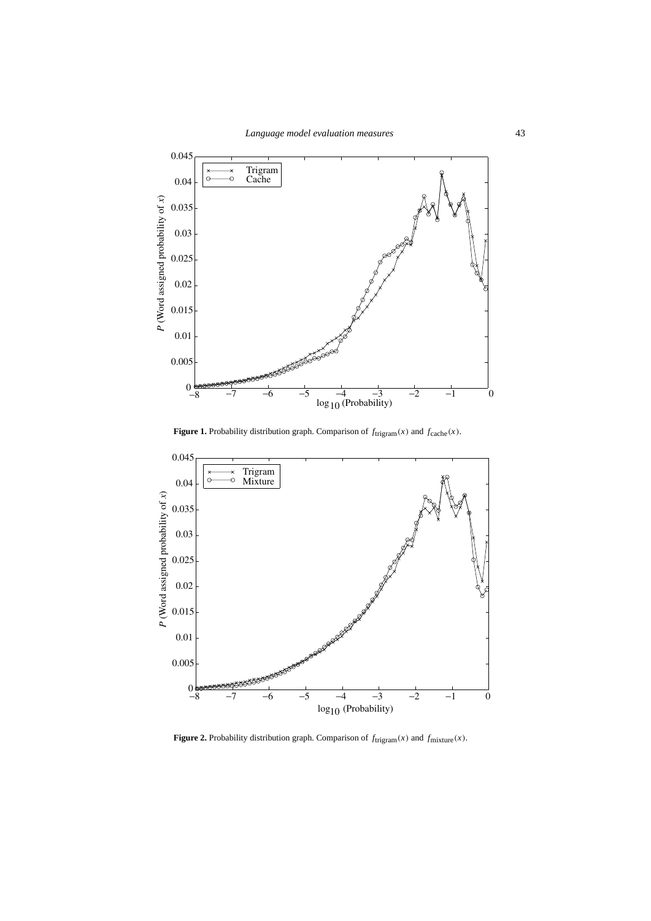

<span id="page-4-0"></span>**Figure 1.** Probability distribution graph. Comparison of  $f_{\text{trigram}}(x)$  and  $f_{\text{cache}}(x)$ .



<span id="page-4-1"></span>**Figure 2.** Probability distribution graph. Comparison of  $f_{\text{trigram}}(x)$  and  $f_{\text{mixture}}(x)$ .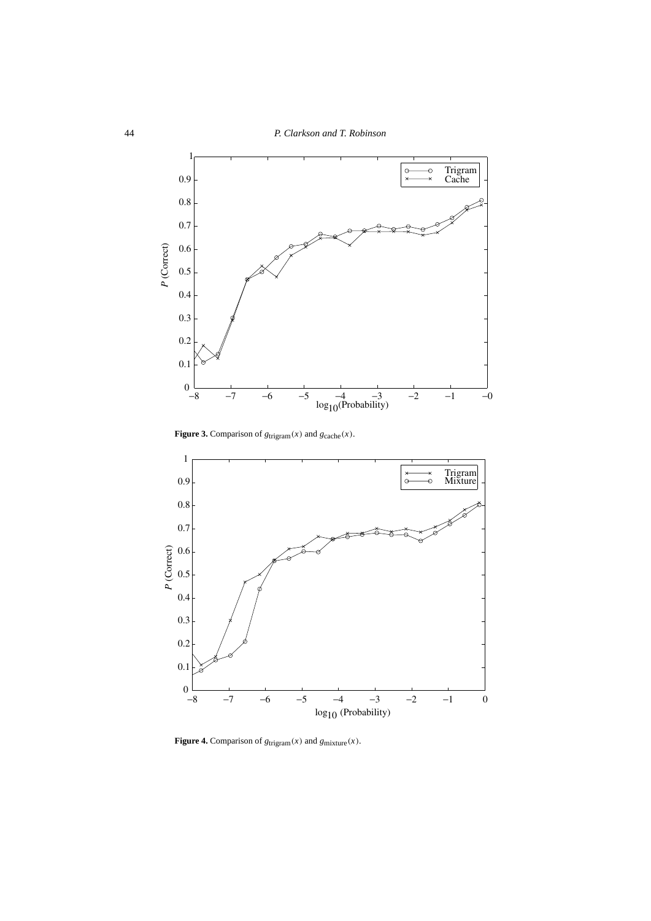

<span id="page-5-0"></span>**Figure 3.** Comparison of  $g_{\text{trigram}}(x)$  and  $g_{\text{cache}}(x)$ .



<span id="page-5-1"></span>**Figure 4.** Comparison of  $g_{\text{trigram}}(x)$  and  $g_{\text{mixture}}(x)$ .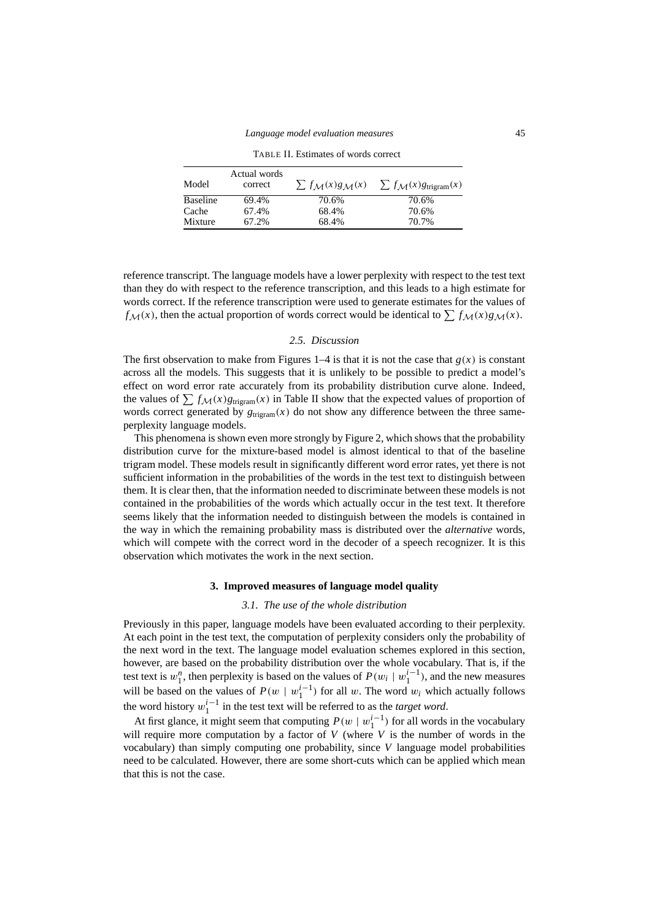| Model    | Actual words<br>correct | $\sum f_{\mathcal{M}}(x)g_{\mathcal{M}}(x)$ | $\sum f_{\mathcal{M}}(x)g_{\text{trigram}}(x)$ |
|----------|-------------------------|---------------------------------------------|------------------------------------------------|
| Baseline | 69.4%                   | 70.6%                                       | 70.6%                                          |
| Cache    | 67.4%                   | 68.4%                                       | 70.6%                                          |
| Mixture  | 67.2%                   | 68.4%                                       | 70.7%                                          |

<span id="page-6-0"></span>TABLE II. Estimates of words correct

reference transcript. The language models have a lower perplexity with respect to the test text than they do with respect to the reference transcription, and this leads to a high estimate for words correct. If the reference transcription were used to generate estimates for the values of  $f_{\mathcal{M}}(x)$ , then the actual proportion of words correct would be identical to  $\sum f_{\mathcal{M}}(x)g_{\mathcal{M}}(x)$ .

#### *2.5. Discussion*

The first observation to make from Figures [1](#page-4-0)[–4](#page-5-1) is that it is not the case that  $g(x)$  is constant across all the models. This suggests that it is unlikely to be possible to predict a model's effect on word error rate accurately from its probability distribution curve alone. Indeed, the values of  $\sum f_{\mathcal{M}}(x)g_{\text{trigram}}(x)$  in Table [II](#page-6-0) show that the expected values of proportion of words correct generated by  $g_{\text{trigram}}(x)$  do not show any difference between the three sameperplexity language models.

This phenomena is shown even more strongly by Figure [2,](#page-4-1) which shows that the probability distribution curve for the mixture-based model is almost identical to that of the baseline trigram model. These models result in significantly different word error rates, yet there is not sufficient information in the probabilities of the words in the test text to distinguish between them. It is clear then, that the information needed to discriminate between these models is not contained in the probabilities of the words which actually occur in the test text. It therefore seems likely that the information needed to distinguish between the models is contained in the way in which the remaining probability mass is distributed over the *alternative* words, which will compete with the correct word in the decoder of a speech recognizer. It is this observation which motivates the work in the next section.

# **3. Improved measures of language model quality**

# *3.1. The use of the whole distribution*

Previously in this paper, language models have been evaluated according to their perplexity. At each point in the test text, the computation of perplexity considers only the probability of the next word in the text. The language model evaluation schemes explored in this section, however, are based on the probability distribution over the whole vocabulary. That is, if the test text is  $w_1^n$ , then perplexity is based on the values of  $P(w_i | w_1^{i-1})$ , and the new measures will be based on the values of  $P(w \mid w_1^{i-1})$  for all w. The word  $w_i$  which actually follows the word history  $w_1^{i-1}$  in the test text will be referred to as the *target word*.

At first glance, it might seem that computing  $P(w | w_1^{i-1})$  for all words in the vocabulary will require more computation by a factor of *V* (where *V* is the number of words in the vocabulary) than simply computing one probability, since *V* language model probabilities need to be calculated. However, there are some short-cuts which can be applied which mean that this is not the case.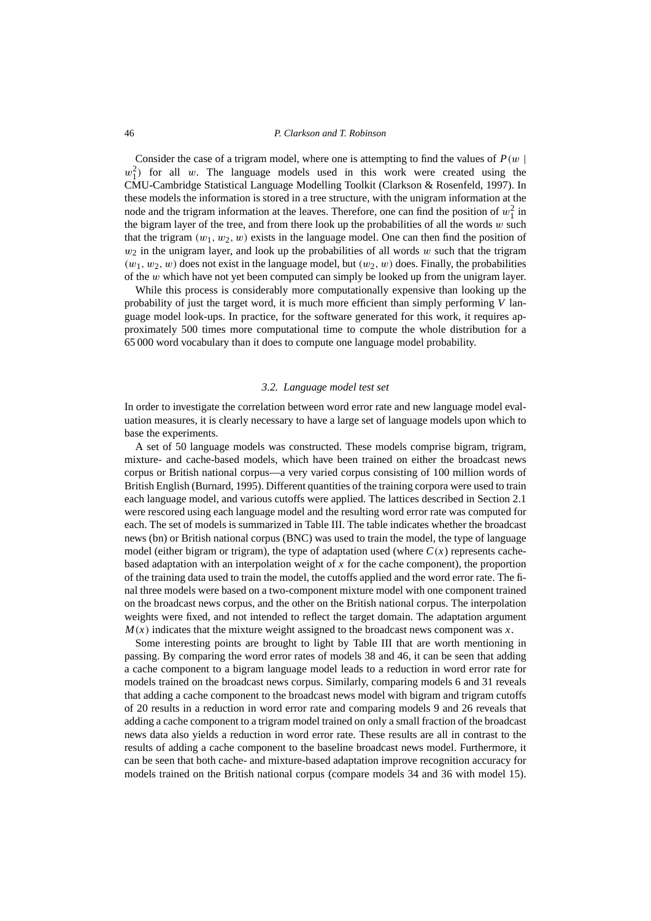#### 46 *P. Clarkson and T. Robinson*

Consider the case of a trigram model, where one is attempting to find the values of  $P(w | w)$  $w_1^2$ ) for all w. The language models used in this work were created using the CMU-Cambridge Statistical Language Modelling Toolkit ([Clarkson & Rosenfeld](#page-13-3), [1997\)](#page-13-3). In these models the information is stored in a tree structure, with the unigram information at the node and the trigram information at the leaves. Therefore, one can find the position of  $w_1^2$  in the bigram layer of the tree, and from there look up the probabilities of all the words  $w$  such that the trigram  $(w_1, w_2, w)$  exists in the language model. One can then find the position of  $w_2$  in the unigram layer, and look up the probabilities of all words w such that the trigram  $(w_1, w_2, w)$  does not exist in the language model, but  $(w_2, w)$  does. Finally, the probabilities of the  $w$  which have not yet been computed can simply be looked up from the unigram layer.

While this process is considerably more computationally expensive than looking up the probability of just the target word, it is much more efficient than simply performing *V* language model look-ups. In practice, for the software generated for this work, it requires approximately 500 times more computational time to compute the whole distribution for a 65 000 word vocabulary than it does to compute one language model probability.

#### *3.2. Language model test set*

In order to investigate the correlation between word error rate and new language model evaluation measures, it is clearly necessary to have a large set of language models upon which to base the experiments.

A set of 50 language models was constructed. These models comprise bigram, trigram, mixture- and cache-based models, which have been trained on either the broadcast news corpus or British national corpus—a very varied corpus consisting of 100 million words of British English ([Burnard](#page-13-4), [1995\)](#page-13-4). Different quantities of the training corpora were used to train each language model, and various cutoffs were applied. The lattices described in Section 2.1 were rescored using each language model and the resulting word error rate was computed for each. The set of models is summarized in Table [III](#page-8-0). The table indicates whether the broadcast news (bn) or British national corpus (BNC) was used to train the model, the type of language model (either bigram or trigram), the type of adaptation used (where  $C(x)$ ) represents cachebased adaptation with an interpolation weight of *x* for the cache component), the proportion of the training data used to train the model, the cutoffs applied and the word error rate. The final three models were based on a two-component mixture model with one component trained on the broadcast news corpus, and the other on the British national corpus. The interpolation weights were fixed, and not intended to reflect the target domain. The adaptation argument  $M(x)$  indicates that the mixture weight assigned to the broadcast news component was x.

Some interesting points are brought to light by Table [III](#page-8-0) that are worth mentioning in passing. By comparing the word error rates of models 38 and 46, it can be seen that adding a cache component to a bigram language model leads to a reduction in word error rate for models trained on the broadcast news corpus. Similarly, comparing models 6 and 31 reveals that adding a cache component to the broadcast news model with bigram and trigram cutoffs of 20 results in a reduction in word error rate and comparing models 9 and 26 reveals that adding a cache component to a trigram model trained on only a small fraction of the broadcast news data also yields a reduction in word error rate. These results are all in contrast to the results of adding a cache component to the baseline broadcast news model. Furthermore, it can be seen that both cache- and mixture-based adaptation improve recognition accuracy for models trained on the British national corpus (compare models 34 and 36 with model 15).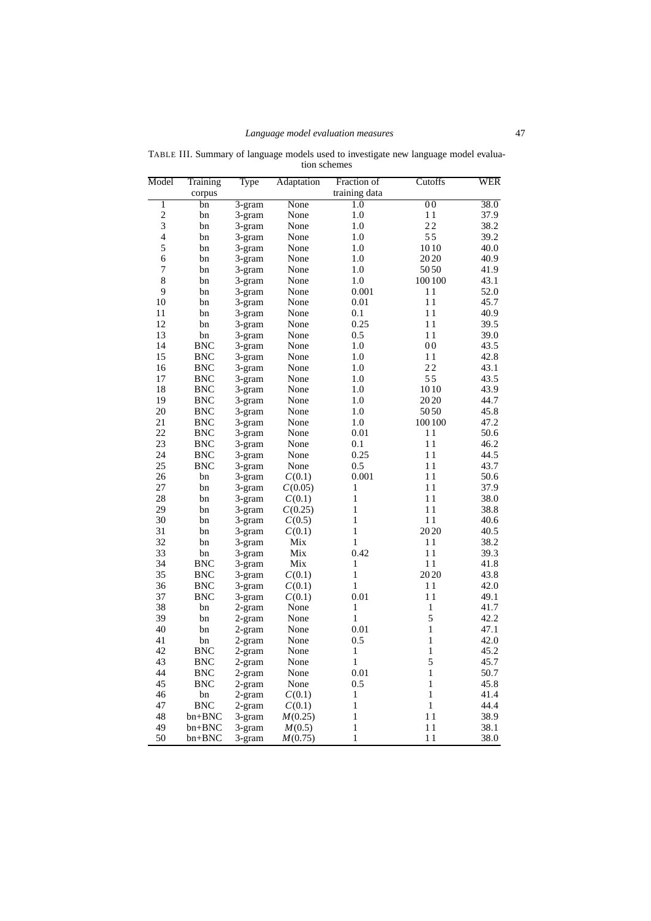<span id="page-8-0"></span>

| TABLE III. Summary of language models used to investigate new language model evalua- |              |  |
|--------------------------------------------------------------------------------------|--------------|--|
|                                                                                      | tion schemes |  |

| Model          | Training   | Type   | Adaptation | Fraction of      | Cutoffs         | WER  |
|----------------|------------|--------|------------|------------------|-----------------|------|
|                | corpus     |        |            | training data    |                 |      |
| 1              | bn         | 3-gram | None       | $\overline{1.0}$ | $\overline{00}$ | 38.0 |
| $\overline{c}$ | bn         | 3-gram | None       | 1.0              | 11              | 37.9 |
| 3              | bn         | 3-gram | None       | 1.0              | 22              | 38.2 |
| $\overline{4}$ | bn         | 3-gram | None       | 1.0              | 55              | 39.2 |
| 5              | bn         | 3-gram | None       | 1.0              | 1010            | 40.0 |
| 6              | bn         | 3-gram | None       | 1.0              | 2020            | 40.9 |
| $\overline{7}$ | bn         | 3-gram | None       | 1.0              | 5050            | 41.9 |
| 8              | bn         | 3-gram | None       | 1.0              | 100 100         | 43.1 |
| 9              | bn         | 3-gram | None       | 0.001            | 11              | 52.0 |
| 10             | bn         | 3-gram | None       | 0.01             | 11              | 45.7 |
| 11             | bn         | 3-gram | None       | 0.1              | 11              | 40.9 |
| 12             | bn         | 3-gram | None       | 0.25             | 11              | 39.5 |
| 13             | bn         | 3-gram | None       | 0.5              | 11              | 39.0 |
| 14             | <b>BNC</b> | 3-gram | None       | 1.0              | 0 <sub>0</sub>  | 43.5 |
| 15             | <b>BNC</b> | 3-gram | None       | 1.0              | 11              | 42.8 |
| 16             | <b>BNC</b> | 3-gram | None       | 1.0              | 22              | 43.1 |
| 17             | <b>BNC</b> | 3-gram | None       | 1.0              | 55              | 43.5 |
| 18             | <b>BNC</b> | 3-gram | None       | 1.0              | 1010            | 43.9 |
| 19             | <b>BNC</b> | 3-gram | None       | 1.0              | 2020            | 44.7 |
| 20             | <b>BNC</b> | 3-gram | None       | 1.0              | 5050            | 45.8 |
| 21             | <b>BNC</b> | 3-gram | None       | 1.0              | 100 100         | 47.2 |
| 22             | <b>BNC</b> | 3-gram | None       | 0.01             | 11              | 50.6 |
| 23             | <b>BNC</b> | 3-gram | None       | 0.1              | 11              | 46.2 |
| 24             | <b>BNC</b> | 3-gram | None       | 0.25             | 11              | 44.5 |
| 25             | <b>BNC</b> | 3-gram | None       | 0.5              | 11              | 43.7 |
| 26             | bn         | 3-gram | C(0.1)     | 0.001            | 11              | 50.6 |
| 27             | bn         | 3-gram | C(0.05)    | 1                | 11              | 37.9 |
| 28             | bn         | 3-gram | C(0.1)     | $\mathbf{1}$     | 11              | 38.0 |
| 29             | bn         | 3-gram | C(0.25)    | $\mathbf{1}$     | 11              | 38.8 |
| 30             | bn         | 3-gram | C(0.5)     | $\mathbf{1}$     | 11              | 40.6 |
| 31             | bn         | 3-gram | C(0.1)     | $\mathbf{1}$     | 2020            | 40.5 |
| 32             | bn         | 3-gram | Mix        | $\mathbf{1}$     | 11              | 38.2 |
| 33             | bn         | 3-gram | Mix        | 0.42             | 11              | 39.3 |
| 34             | <b>BNC</b> | 3-gram | Mix        | $\mathbf{1}$     | 11              | 41.8 |
| 35             | <b>BNC</b> | 3-gram | C(0.1)     | $\mathbf{1}$     | 20 20           | 43.8 |
| 36             | <b>BNC</b> | 3-gram | C(0.1)     | $\mathbf{1}$     | 11              | 42.0 |
| 37             | <b>BNC</b> | 3-gram | C(0.1)     | 0.01             | 11              | 49.1 |
| 38             | bn         | 2-gram | None       | $\mathbf{1}$     | $\mathbf{1}$    | 41.7 |
| 39             | bn         | 2-gram | None       | $\mathbf{1}$     | 5               | 42.2 |
| 40             | bn         | 2-gram | None       | 0.01             | $\mathbf{1}$    | 47.1 |
| 41             | bn         | 2-gram | None       | 0.5              | $\mathbf{1}$    | 42.0 |
| 42             | <b>BNC</b> | 2-gram | None       | 1                | $\mathbf{1}$    | 45.2 |
| 43             | <b>BNC</b> | 2-gram | None       | $\mathbf{1}$     | 5               | 45.7 |
| 44             | <b>BNC</b> | 2-gram | None       | 0.01             | $\mathbf{1}$    | 50.7 |
| 45             | <b>BNC</b> | 2-gram | None       | 0.5              | $\mathbf{1}$    | 45.8 |
| 46             | bn         | 2-gram | C(0.1)     | 1                | $\mathbf{1}$    | 41.4 |
| 47             | <b>BNC</b> | 2-gram | C(0.1)     | $\,1$            | $\mathbf{1}$    | 44.4 |
| 48             | $bn+BNC$   | 3-gram | M(0.25)    | $\mathbf{1}$     | 11              | 38.9 |
| 49             | $bn+BNC$   | 3-gram | M(0.5)     | $\mathbf{1}$     | 11              | 38.1 |
| 50             | $bn+BNC$   | 3-gram | M(0.75)    | $\mathbf{1}$     | 11              | 38.0 |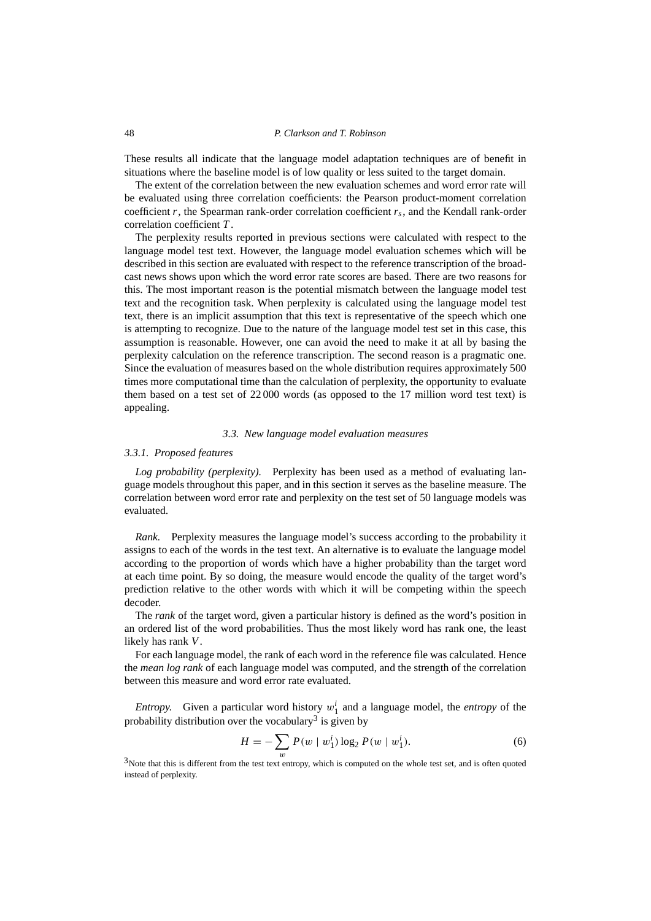48 *P. Clarkson and T. Robinson*

These results all indicate that the language model adaptation techniques are of benefit in situations where the baseline model is of low quality or less suited to the target domain.

The extent of the correlation between the new evaluation schemes and word error rate will be evaluated using three correlation coefficients: the Pearson product-moment correlation coefficient *r*, the Spearman rank-order correlation coefficient *r<sup>s</sup>* , and the Kendall rank-order correlation coefficient *T* .

The perplexity results reported in previous sections were calculated with respect to the language model test text. However, the language model evaluation schemes which will be described in this section are evaluated with respect to the reference transcription of the broadcast news shows upon which the word error rate scores are based. There are two reasons for this. The most important reason is the potential mismatch between the language model test text and the recognition task. When perplexity is calculated using the language model test text, there is an implicit assumption that this text is representative of the speech which one is attempting to recognize. Due to the nature of the language model test set in this case, this assumption is reasonable. However, one can avoid the need to make it at all by basing the perplexity calculation on the reference transcription. The second reason is a pragmatic one. Since the evaluation of measures based on the whole distribution requires approximately 500 times more computational time than the calculation of perplexity, the opportunity to evaluate them based on a test set of 22 000 words (as opposed to the 17 million word test text) is appealing.

#### *3.3. New language model evaluation measures*

#### *3.3.1. Proposed features*

*Log probability (perplexity).* Perplexity has been used as a method of evaluating language models throughout this paper, and in this section it serves as the baseline measure. The correlation between word error rate and perplexity on the test set of 50 language models was evaluated.

*Rank.* Perplexity measures the language model's success according to the probability it assigns to each of the words in the test text. An alternative is to evaluate the language model according to the proportion of words which have a higher probability than the target word at each time point. By so doing, the measure would encode the quality of the target word's prediction relative to the other words with which it will be competing within the speech decoder.

The *rank* of the target word, given a particular history is defined as the word's position in an ordered list of the word probabilities. Thus the most likely word has rank one, the least likely has rank *V*.

For each language model, the rank of each word in the reference file was calculated. Hence the *mean log rank* of each language model was computed, and the strength of the correlation between this measure and word error rate evaluated.

*Entropy.* Given a particular word history  $w_1^i$  and a language model, the *entropy* of the probability distribution over the vocabulary<sup>[3](#page-9-0)</sup> is given by

$$
H = -\sum_{w} P(w \mid w_1^i) \log_2 P(w \mid w_1^i). \tag{6}
$$

<span id="page-9-0"></span> $\frac{w}{3}$ Note that this is different from the test text entropy, which is computed on the whole test set, and is often quoted instead of perplexity.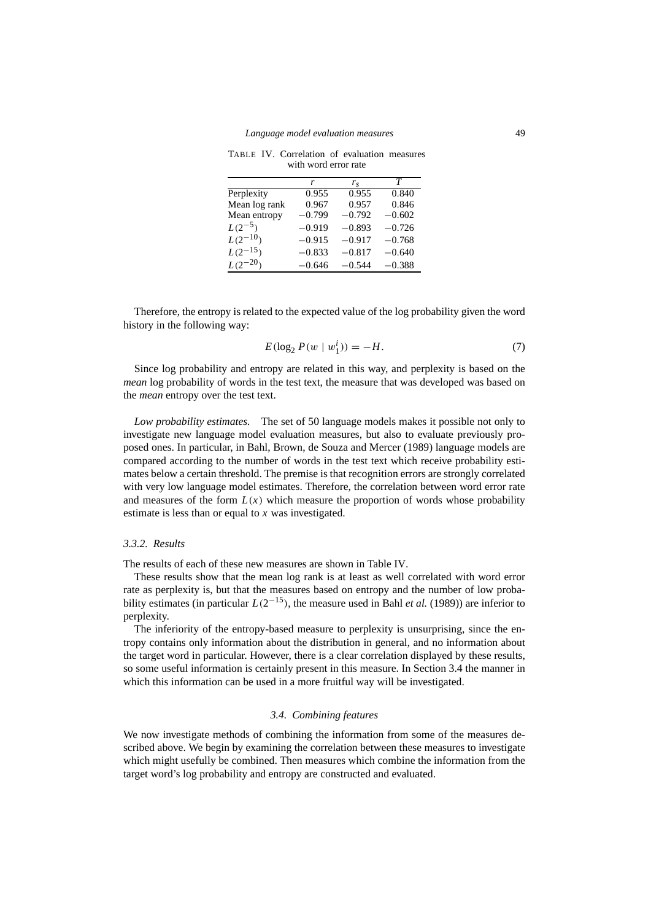|               | with word error rate |             |          |
|---------------|----------------------|-------------|----------|
|               | r                    | $r_{\rm s}$ | T        |
| Perplexity    | 0.955                | 0.955       | 0.840    |
| Mean log rank | 0.967                | 0.957       | 0.846    |
| Mean entropy  | $-0.799$             | $-0.792$    | $-0.602$ |
| $L(2^{-5})$   | $-0.919$             | $-0.893$    | $-0.726$ |
| $L(2^{-10})$  | $-0.915$             | $-0.917$    | $-0.768$ |
| $L(2^{-15})$  | $-0.833$             | $-0.817$    | $-0.640$ |
| $L(2^{-20})$  | $-0.646$             | $-0.544$    | $-0.388$ |

<span id="page-10-0"></span>

|  | TABLE IV. Correlation of evaluation measures |  |  |
|--|----------------------------------------------|--|--|
|  | with word error rate                         |  |  |

Therefore, the entropy is related to the expected value of the log probability given the word history in the following way:

$$
E(\log_2 P(w \mid w_1^i)) = -H. \tag{7}
$$

Since log probability and entropy are related in this way, and perplexity is based on the *mean* log probability of words in the test text, the measure that was developed was based on the *mean* entropy over the test text.

*Low probability estimates.* The set of 50 language models makes it possible not only to investigate new language model evaluation measures, but also to evaluate previously proposed ones. In particular, in [Bahl, Brown, de Souza and Mercer](#page-13-5) ([1989](#page-13-5)) language models are compared according to the number of words in the test text which receive probability estimates below a certain threshold. The premise is that recognition errors are strongly correlated with very low language model estimates. Therefore, the correlation between word error rate and measures of the form  $L(x)$  which measure the proportion of words whose probability estimate is less than or equal to *x* was investigated.

# *3.3.2. Results*

The results of each of these new measures are shown in Table [IV](#page-10-0).

These results show that the mean log rank is at least as well correlated with word error rate as perplexity is, but that the measures based on entropy and the number of low probability estimates (in particular  $L(2^{-15})$ , the measure used in Bahl *[et al.](#page-13-5)* ([1989\)](#page-13-5)) are inferior to perplexity.

The inferiority of the entropy-based measure to perplexity is unsurprising, since the entropy contains only information about the distribution in general, and no information about the target word in particular. However, there is a clear correlation displayed by these results, so some useful information is certainly present in this measure. In Section [3.4](#page-10-1) the manner in which this information can be used in a more fruitful way will be investigated.

## *3.4. Combining features*

<span id="page-10-1"></span>We now investigate methods of combining the information from some of the measures described above. We begin by examining the correlation between these measures to investigate which might usefully be combined. Then measures which combine the information from the target word's log probability and entropy are constructed and evaluated.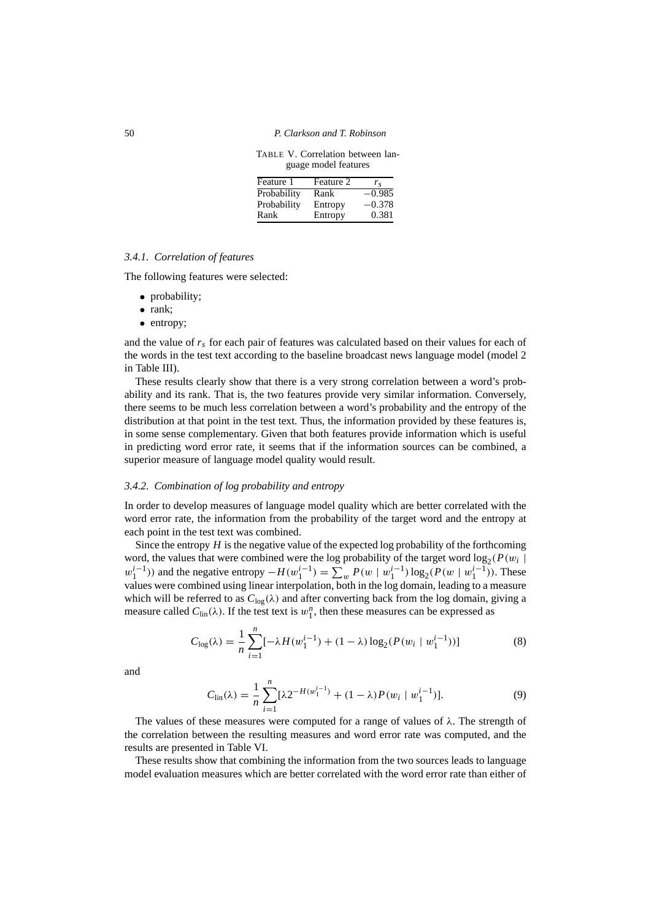50 *P. Clarkson and T. Robinson*

|  |                      | TABLE V. Correlation between lan- |  |
|--|----------------------|-----------------------------------|--|
|  | guage model features |                                   |  |

| Feature 1   | Feature 2 | r,       |
|-------------|-----------|----------|
| Probability | Rank      | $-0.985$ |
| Probability | Entropy   | $-0.378$ |
| Rank        | Entropy   | 0.381    |

#### *3.4.1. Correlation of features*

The following features were selected:

- probability;
- rank;
- entropy;

and the value of  $r<sub>s</sub>$  for each pair of features was calculated based on their values for each of the words in the test text according to the baseline broadcast news language model (model 2 in Table [III](#page-8-0)).

These results clearly show that there is a very strong correlation between a word's probability and its rank. That is, the two features provide very similar information. Conversely, there seems to be much less correlation between a word's probability and the entropy of the distribution at that point in the test text. Thus, the information provided by these features is, in some sense complementary. Given that both features provide information which is useful in predicting word error rate, it seems that if the information sources can be combined, a superior measure of language model quality would result.

#### *3.4.2. Combination of log probability and entropy*

In order to develop measures of language model quality which are better correlated with the word error rate, the information from the probability of the target word and the entropy at each point in the test text was combined.

Since the entropy *H* is the negative value of the expected log probability of the forthcoming word, the values that were combined were the log probability of the target word  $\log_2(P(w_i))$  $w_1^{i-1}$ )) and the negative entropy  $-H(w_1^{i-1}) = \sum_{w} P(w \mid w_1^{i-1}) \log_2(P(w \mid w_1^{i-1}))$ . These values were combined using linear interpolation, both in the log domain, leading to a measure which will be referred to as  $C_{\log}(\lambda)$  and after converting back from the log domain, giving a measure called  $C_{\text{lin}}(\lambda)$ . If the test text is  $w_1^n$ , then these measures can be expressed as

$$
C_{\log}(\lambda) = \frac{1}{n} \sum_{i=1}^{n} [-\lambda H(w_1^{i-1}) + (1 - \lambda) \log_2(P(w_i \mid w_1^{i-1}))]
$$
(8)

and

$$
C_{\text{lin}}(\lambda) = \frac{1}{n} \sum_{i=1}^{n} [\lambda 2^{-H(w_1^{i-1})} + (1 - \lambda) P(w_i \mid w_1^{i-1})]. \tag{9}
$$

The values of these measures were computed for a range of values of  $\lambda$ . The strength of the correlation between the resulting measures and word error rate was computed, and the results are presented in Table [VI.](#page-12-0)

These results show that combining the information from the two sources leads to language model evaluation measures which are better correlated with the word error rate than either of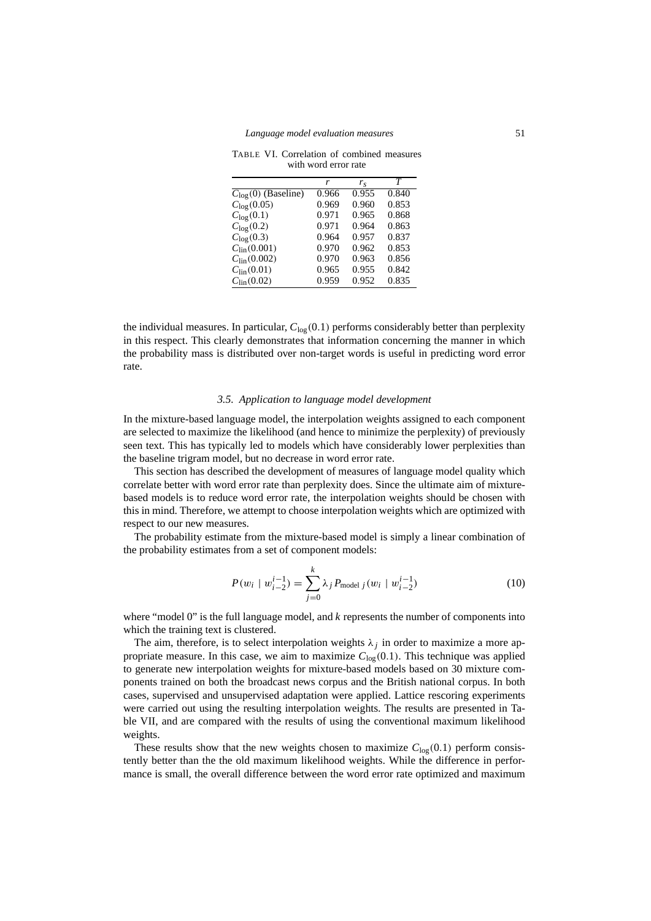|                                     | with word chon rate |             |       |
|-------------------------------------|---------------------|-------------|-------|
|                                     | r                   | $r_{\rm s}$ | T     |
| $\overline{C_{\log}(0)}$ (Baseline) | 0.966               | 0.955       | 0.840 |
| $C_{\log}(0.05)$                    | 0.969               | 0.960       | 0.853 |
| $C_{\log}(0.1)$                     | 0.971               | 0.965       | 0.868 |
| $C_{\log}(0.2)$                     | 0.971               | 0.964       | 0.863 |
| $C_{\log}(0.3)$                     | 0.964               | 0.957       | 0.837 |
| $C_{\text{lin}}(0.001)$             | 0.970               | 0.962       | 0.853 |
| $C_{\text{lin}}(0.002)$             | 0.970               | 0.963       | 0.856 |
| $C_{\text{lin}}(0.01)$              | 0.965               | 0.955       | 0.842 |
| $C_{\text{lin}}(0.02)$              | 0.959               | 0.952       | 0.835 |

<span id="page-12-0"></span>

|  | TABLE VI. Correlation of combined measures |  |  |
|--|--------------------------------------------|--|--|
|  | with word error rate                       |  |  |

the individual measures. In particular,  $C_{\text{log}}(0.1)$  performs considerably better than perplexity in this respect. This clearly demonstrates that information concerning the manner in which the probability mass is distributed over non-target words is useful in predicting word error rate.

#### *3.5. Application to language model development*

In the mixture-based language model, the interpolation weights assigned to each component are selected to maximize the likelihood (and hence to minimize the perplexity) of previously seen text. This has typically led to models which have considerably lower perplexities than the baseline trigram model, but no decrease in word error rate.

This section has described the development of measures of language model quality which correlate better with word error rate than perplexity does. Since the ultimate aim of mixturebased models is to reduce word error rate, the interpolation weights should be chosen with this in mind. Therefore, we attempt to choose interpolation weights which are optimized with respect to our new measures.

The probability estimate from the mixture-based model is simply a linear combination of the probability estimates from a set of component models:

$$
P(w_i \mid w_{i-2}^{i-1}) = \sum_{j=0}^{k} \lambda_j P_{\text{model } j}(w_i \mid w_{i-2}^{i-1})
$$
 (10)

where "model 0" is the full language model, and *k* represents the number of components into which the training text is clustered.

The aim, therefore, is to select interpolation weights  $\lambda_j$  in order to maximize a more appropriate measure. In this case, we aim to maximize  $C<sub>loc</sub>(0.1)$ . This technique was applied to generate new interpolation weights for mixture-based models based on 30 mixture components trained on both the broadcast news corpus and the British national corpus. In both cases, supervised and unsupervised adaptation were applied. Lattice rescoring experiments were carried out using the resulting interpolation weights. The results are presented in Table [VII](#page-13-6), and are compared with the results of using the conventional maximum likelihood weights.

These results show that the new weights chosen to maximize  $C_{\text{log}}(0.1)$  perform consistently better than the the old maximum likelihood weights. While the difference in performance is small, the overall difference between the word error rate optimized and maximum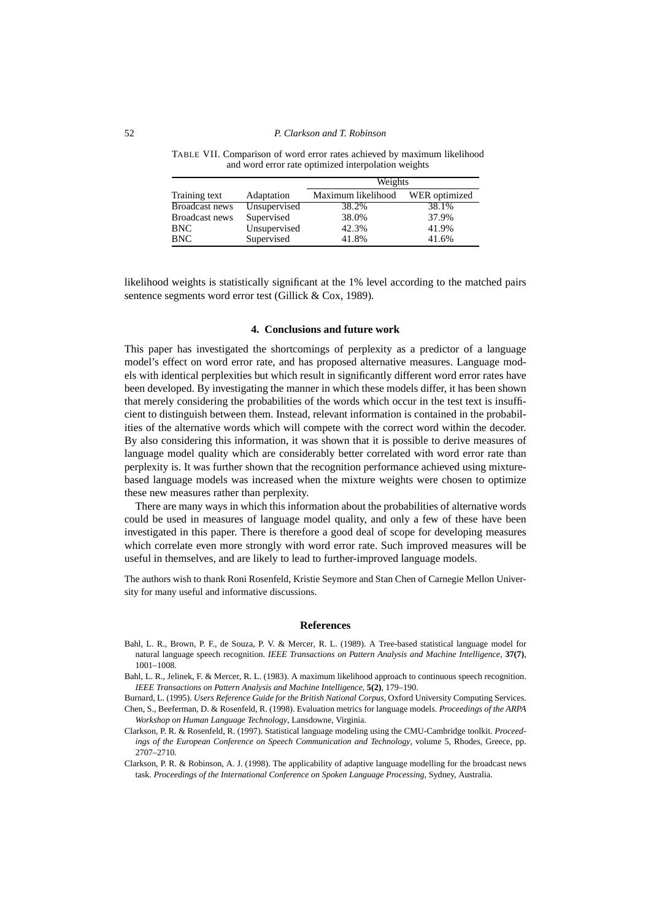|                       |              | Weights            |               |  |  |
|-----------------------|--------------|--------------------|---------------|--|--|
| Training text         | Adaptation   | Maximum likelihood | WER optimized |  |  |
| <b>Broadcast news</b> | Unsupervised | 38.2%              | 38.1%         |  |  |
| Broadcast news        | Supervised   | 38.0%              | 37.9%         |  |  |
| <b>BNC</b>            | Unsupervised | 42.3%              | 41.9%         |  |  |
| <b>BNC</b>            | Supervised   | 41.8%              | 41.6%         |  |  |

<span id="page-13-6"></span>TABLE VII. Comparison of word error rates achieved by maximum likelihood and word error rate optimized interpolation weights

likelihood weights is statistically significant at the 1% level according to the matched pairs sentence segments word error test [\(Gillick & Cox](#page-14-3), [1989](#page-14-3)).

## **4. Conclusions and future work**

This paper has investigated the shortcomings of perplexity as a predictor of a language model's effect on word error rate, and has proposed alternative measures. Language models with identical perplexities but which result in significantly different word error rates have been developed. By investigating the manner in which these models differ, it has been shown that merely considering the probabilities of the words which occur in the test text is insufficient to distinguish between them. Instead, relevant information is contained in the probabilities of the alternative words which will compete with the correct word within the decoder. By also considering this information, it was shown that it is possible to derive measures of language model quality which are considerably better correlated with word error rate than perplexity is. It was further shown that the recognition performance achieved using mixturebased language models was increased when the mixture weights were chosen to optimize these new measures rather than perplexity.

There are many ways in which this information about the probabilities of alternative words could be used in measures of language model quality, and only a few of these have been investigated in this paper. There is therefore a good deal of scope for developing measures which correlate even more strongly with word error rate. Such improved measures will be useful in themselves, and are likely to lead to further-improved language models.

The authors wish to thank Roni Rosenfeld, Kristie Seymore and Stan Chen of Carnegie Mellon University for many useful and informative discussions.

#### **References**

- <span id="page-13-5"></span>Bahl, L. R., Brown, P. F., de Souza, P. V. & Mercer, R. L. (1989). A Tree-based statistical language model for natural language speech recognition. *IEEE Transactions on Pattern Analysis and Machine Intelligence*, **37(7)**, 1001–1008.
- <span id="page-13-0"></span>Bahl, L. R., Jelinek, F. & Mercer, R. L. (1983). A maximum likelihood approach to continuous speech recognition. *IEEE Transactions on Pattern Analysis and Machine Intelligence*, **5(2)**, 179–190.
- <span id="page-13-4"></span>Burnard, L. (1995). *Users Reference Guide for the British National Corpus*, Oxford University Computing Services. Chen, S., Beeferman, D. & Rosenfeld, R. (1998). Evaluation metrics for language models. *Proceedings of the ARPA Workshop on Human Language Technology*, Lansdowne, Virginia.
- <span id="page-13-3"></span><span id="page-13-1"></span>Clarkson, P. R. & Rosenfeld, R. (1997). Statistical language modeling using the CMU-Cambridge toolkit. *Proceedings of the European Conference on Speech Communication and Technology*, volume 5, Rhodes, Greece, pp. 2707–2710.
- <span id="page-13-2"></span>Clarkson, P. R. & Robinson, A. J. (1998). The applicability of adaptive language modelling for the broadcast news task. *Proceedings of the International Conference on Spoken Language Processing*, Sydney, Australia.